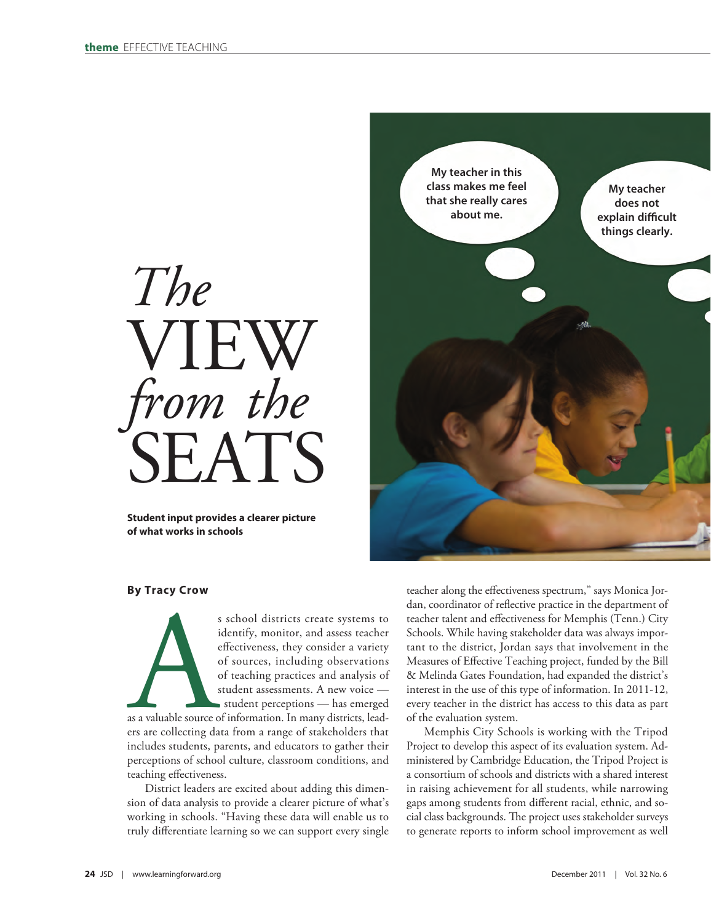

**Student input provides a clearer picture of what works in schools**



# **By Tracy Crow**

s school districts create systems to<br>identify, monitor, and assess teacher<br>effectiveness, they consider a variety<br>of sources, including observations<br>of teaching practices and analysis of<br>student assessments. A new voice —<br> identify, monitor, and assess teacher effectiveness, they consider a variety of sources, including observations of teaching practices and analysis of student assessments. A new voice student perceptions — has emerged

as a valuable source of information. In many districts, leaders are collecting data from a range of stakeholders that includes students, parents, and educators to gather their perceptions of school culture, classroom conditions, and teaching effectiveness.

District leaders are excited about adding this dimension of data analysis to provide a clearer picture of what's working in schools. "Having these data will enable us to truly differentiate learning so we can support every single

teacher along the effectiveness spectrum," says Monica Jordan, coordinator of reflective practice in the department of teacher talent and effectiveness for Memphis (Tenn.) City Schools. While having stakeholder data was always important to the district, Jordan says that involvement in the Measures of Effective Teaching project, funded by the Bill & Melinda Gates Foundation, had expanded the district's interest in the use of this type of information. In 2011-12, every teacher in the district has access to this data as part of the evaluation system.

Memphis City Schools is working with the Tripod Project to develop this aspect of its evaluation system. Administered by Cambridge Education, the Tripod Project is a consortium of schools and districts with a shared interest in raising achievement for all students, while narrowing gaps among students from different racial, ethnic, and social class backgrounds. The project uses stakeholder surveys to generate reports to inform school improvement as well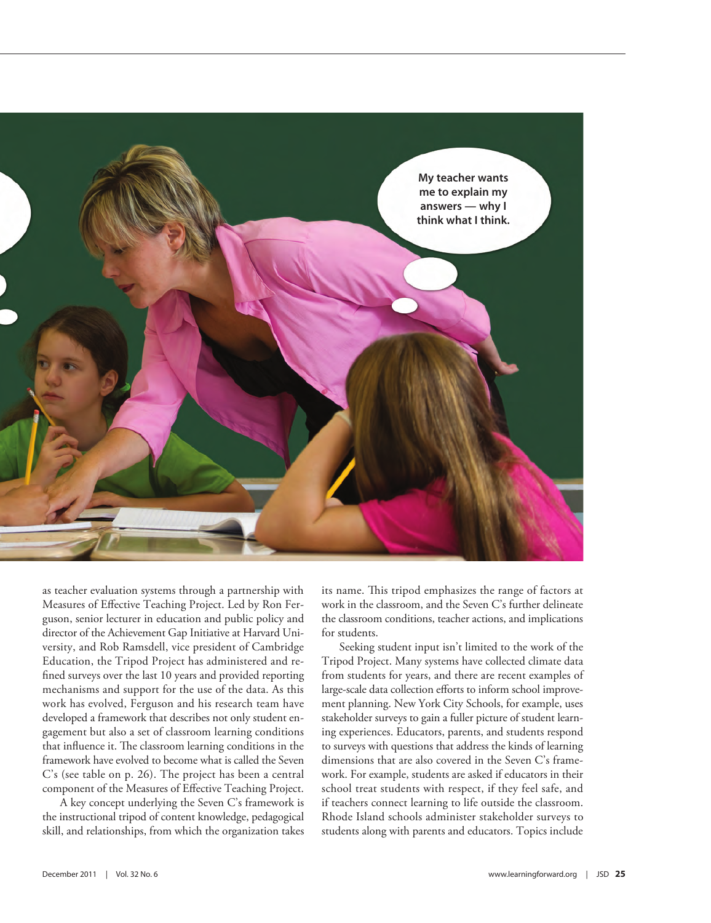

as teacher evaluation systems through a partnership with Measures of Effective Teaching Project. Led by Ron Ferguson, senior lecturer in education and public policy and director of the Achievement Gap Initiative at Harvard University, and Rob Ramsdell, vice president of Cambridge Education, the Tripod Project has administered and refined surveys over the last 10 years and provided reporting mechanisms and support for the use of the data. As this work has evolved, Ferguson and his research team have developed a framework that describes not only student engagement but also a set of classroom learning conditions that influence it. The classroom learning conditions in the framework have evolved to become what is called the Seven C's (see table on p. 26). The project has been a central component of the Measures of Effective Teaching Project.

A key concept underlying the Seven C's framework is the instructional tripod of content knowledge, pedagogical skill, and relationships, from which the organization takes

its name. This tripod emphasizes the range of factors at work in the classroom, and the Seven C's further delineate the classroom conditions, teacher actions, and implications for students.

Seeking student input isn't limited to the work of the Tripod Project. Many systems have collected climate data from students for years, and there are recent examples of large-scale data collection efforts to inform school improvement planning. New York City Schools, for example, uses stakeholder surveys to gain a fuller picture of student learning experiences. Educators, parents, and students respond to surveys with questions that address the kinds of learning dimensions that are also covered in the Seven C's framework. For example, students are asked if educators in their school treat students with respect, if they feel safe, and if teachers connect learning to life outside the classroom. Rhode Island schools administer stakeholder surveys to students along with parents and educators. Topics include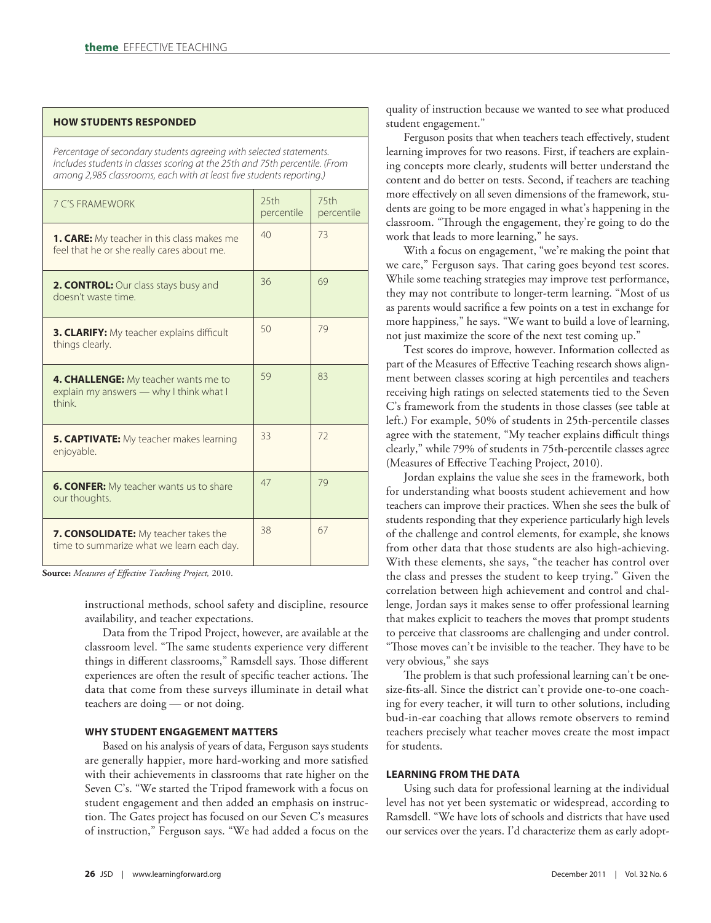### **HOW STUDENTS RESPONDED**

*Percentage of secondary students agreeing with selected statements. Includes students in classes scoring at the 25th and 75th percentile. (From among 2,985 classrooms, each with at least five students reporting.)*

| <b>7 C'S FRAMEWORK</b>                                                                          | 25th<br>percentile | 75 <sub>th</sub><br>percentile |
|-------------------------------------------------------------------------------------------------|--------------------|--------------------------------|
| <b>1. CARE:</b> My teacher in this class makes me<br>feel that he or she really cares about me. | 40                 | 73                             |
| 2. CONTROL: Our class stays busy and<br>doesn't waste time                                      | 36                 | 69                             |
| <b>3. CLARIFY:</b> My teacher explains difficult<br>things clearly.                             | 50                 | 79                             |
| 4. CHALLENGE: My teacher wants me to<br>explain my answers - why I think what I<br>think        | 59                 | 83                             |
| <b>5. CAPTIVATE:</b> My teacher makes learning<br>enjoyable.                                    | 33                 | 72                             |
| <b>6. CONFER:</b> My teacher wants us to share<br>our thoughts.                                 | 47                 | 79                             |
| <b>7. CONSOLIDATE:</b> My teacher takes the<br>time to summarize what we learn each day.        | 38                 | 67                             |

**Source:** *Measures of Effective Teaching Project,* 2010.

instructional methods, school safety and discipline, resource availability, and teacher expectations.

Data from the Tripod Project, however, are available at the classroom level. "The same students experience very different things in different classrooms," Ramsdell says. Those different experiences are often the result of specific teacher actions. The data that come from these surveys illuminate in detail what teachers are doing — or not doing.

# **WHY STUDENT ENGAGEMENT MATTERS**

Based on his analysis of years of data, Ferguson says students are generally happier, more hard-working and more satisfied with their achievements in classrooms that rate higher on the Seven C's. "We started the Tripod framework with a focus on student engagement and then added an emphasis on instruction. The Gates project has focused on our Seven C's measures of instruction," Ferguson says. "We had added a focus on the quality of instruction because we wanted to see what produced student engagement."

Ferguson posits that when teachers teach effectively, student learning improves for two reasons. First, if teachers are explaining concepts more clearly, students will better understand the content and do better on tests. Second, if teachers are teaching more effectively on all seven dimensions of the framework, students are going to be more engaged in what's happening in the classroom. "Through the engagement, they're going to do the work that leads to more learning," he says.

With a focus on engagement, "we're making the point that we care," Ferguson says. That caring goes beyond test scores. While some teaching strategies may improve test performance, they may not contribute to longer-term learning. "Most of us as parents would sacrifice a few points on a test in exchange for more happiness," he says. "We want to build a love of learning, not just maximize the score of the next test coming up."

Test scores do improve, however. Information collected as part of the Measures of Effective Teaching research shows alignment between classes scoring at high percentiles and teachers receiving high ratings on selected statements tied to the Seven C's framework from the students in those classes (see table at left.) For example, 50% of students in 25th-percentile classes agree with the statement, "My teacher explains difficult things clearly," while 79% of students in 75th-percentile classes agree (Measures of Effective Teaching Project, 2010).

Jordan explains the value she sees in the framework, both for understanding what boosts student achievement and how teachers can improve their practices. When she sees the bulk of students responding that they experience particularly high levels of the challenge and control elements, for example, she knows from other data that those students are also high-achieving. With these elements, she says, "the teacher has control over the class and presses the student to keep trying." Given the correlation between high achievement and control and challenge, Jordan says it makes sense to offer professional learning that makes explicit to teachers the moves that prompt students to perceive that classrooms are challenging and under control. "Those moves can't be invisible to the teacher. They have to be very obvious," she says

The problem is that such professional learning can't be onesize-fits-all. Since the district can't provide one-to-one coaching for every teacher, it will turn to other solutions, including bud-in-ear coaching that allows remote observers to remind teachers precisely what teacher moves create the most impact for students.

# **LEARNING FROM THE DATA**

Using such data for professional learning at the individual level has not yet been systematic or widespread, according to Ramsdell. "We have lots of schools and districts that have used our services over the years. I'd characterize them as early adopt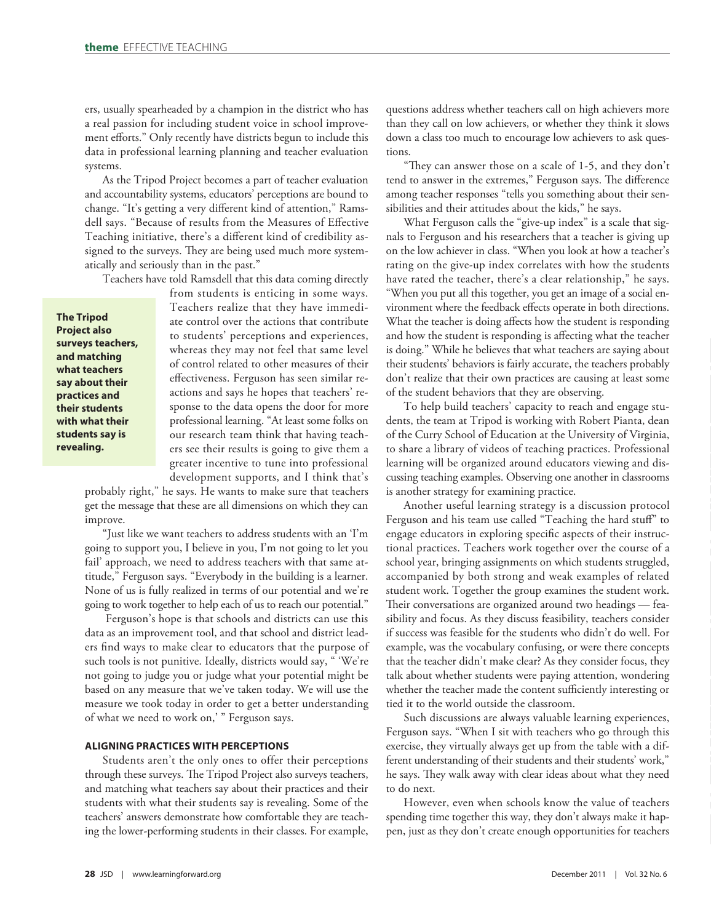ers, usually spearheaded by a champion in the district who has a real passion for including student voice in school improvement efforts." Only recently have districts begun to include this data in professional learning planning and teacher evaluation systems.

As the Tripod Project becomes a part of teacher evaluation and accountability systems, educators' perceptions are bound to change. "It's getting a very different kind of attention," Ramsdell says. "Because of results from the Measures of Effective Teaching initiative, there's a different kind of credibility assigned to the surveys. They are being used much more systematically and seriously than in the past."

Teachers have told Ramsdell that this data coming directly

**The Tripod Project also surveys teachers, and matching what teachers say about their practices and their students with what their students say is revealing.**

from students is enticing in some ways. Teachers realize that they have immediate control over the actions that contribute to students' perceptions and experiences, whereas they may not feel that same level of control related to other measures of their effectiveness. Ferguson has seen similar reactions and says he hopes that teachers' response to the data opens the door for more professional learning. "At least some folks on our research team think that having teachers see their results is going to give them a greater incentive to tune into professional development supports, and I think that's

probably right," he says. He wants to make sure that teachers get the message that these are all dimensions on which they can improve.

"Just like we want teachers to address students with an 'I'm going to support you, I believe in you, I'm not going to let you fail' approach, we need to address teachers with that same attitude," Ferguson says. "Everybody in the building is a learner. None of us is fully realized in terms of our potential and we're going to work together to help each of us to reach our potential."

 Ferguson's hope is that schools and districts can use this data as an improvement tool, and that school and district leaders find ways to make clear to educators that the purpose of such tools is not punitive. Ideally, districts would say, " 'We're not going to judge you or judge what your potential might be based on any measure that we've taken today. We will use the measure we took today in order to get a better understanding of what we need to work on,' " Ferguson says.

# **ALIGNING PRACTICES WITH PERCEPTIONS**

Students aren't the only ones to offer their perceptions through these surveys. The Tripod Project also surveys teachers, and matching what teachers say about their practices and their students with what their students say is revealing. Some of the teachers' answers demonstrate how comfortable they are teaching the lower-performing students in their classes. For example, questions address whether teachers call on high achievers more than they call on low achievers, or whether they think it slows down a class too much to encourage low achievers to ask questions.

"They can answer those on a scale of 1-5, and they don't tend to answer in the extremes," Ferguson says. The difference among teacher responses "tells you something about their sensibilities and their attitudes about the kids," he says.

What Ferguson calls the "give-up index" is a scale that signals to Ferguson and his researchers that a teacher is giving up on the low achiever in class. "When you look at how a teacher's rating on the give-up index correlates with how the students have rated the teacher, there's a clear relationship," he says. "When you put all this together, you get an image of a social environment where the feedback effects operate in both directions. What the teacher is doing affects how the student is responding and how the student is responding is affecting what the teacher is doing." While he believes that what teachers are saying about their students' behaviors is fairly accurate, the teachers probably don't realize that their own practices are causing at least some of the student behaviors that they are observing.

To help build teachers' capacity to reach and engage students, the team at Tripod is working with Robert Pianta, dean of the Curry School of Education at the University of Virginia, to share a library of videos of teaching practices. Professional learning will be organized around educators viewing and discussing teaching examples. Observing one another in classrooms is another strategy for examining practice.

Another useful learning strategy is a discussion protocol Ferguson and his team use called "Teaching the hard stuff" to engage educators in exploring specific aspects of their instructional practices. Teachers work together over the course of a school year, bringing assignments on which students struggled, accompanied by both strong and weak examples of related student work. Together the group examines the student work. Their conversations are organized around two headings — feasibility and focus. As they discuss feasibility, teachers consider if success was feasible for the students who didn't do well. For example, was the vocabulary confusing, or were there concepts that the teacher didn't make clear? As they consider focus, they talk about whether students were paying attention, wondering whether the teacher made the content sufficiently interesting or tied it to the world outside the classroom.

Such discussions are always valuable learning experiences, Ferguson says. "When I sit with teachers who go through this exercise, they virtually always get up from the table with a different understanding of their students and their students' work," he says. They walk away with clear ideas about what they need to do next.

However, even when schools know the value of teachers spending time together this way, they don't always make it happen, just as they don't create enough opportunities for teachers